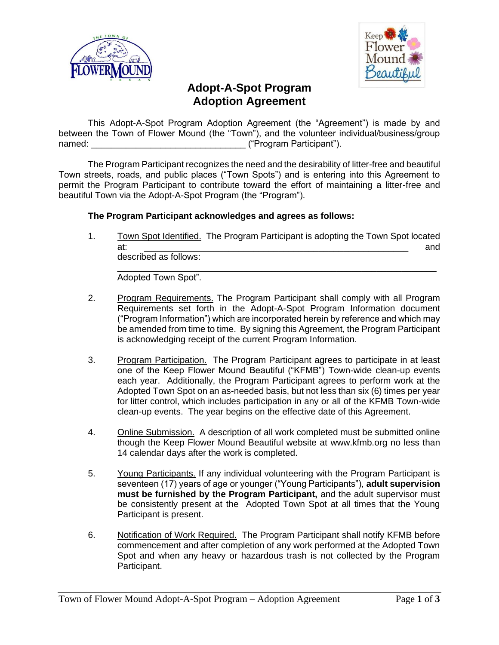



## **Adopt-A-Spot Program Adoption Agreement**

This Adopt-A-Spot Program Adoption Agreement (the "Agreement") is made by and between the Town of Flower Mound (the "Town"), and the volunteer individual/business/group named:  $\blacksquare$  ("Program Participant").

The Program Participant recognizes the need and the desirability of litter-free and beautiful Town streets, roads, and public places ("Town Spots") and is entering into this Agreement to permit the Program Participant to contribute toward the effort of maintaining a litter-free and beautiful Town via the Adopt-A-Spot Program (the "Program").

## **The Program Participant acknowledges and agrees as follows:**

1. Town Spot Identified. The Program Participant is adopting the Town Spot located at: \_\_\_\_\_\_\_\_\_\_\_\_\_\_\_\_\_\_\_\_\_\_\_\_\_\_\_\_\_\_\_\_\_\_\_\_\_\_\_\_\_\_\_\_\_\_\_\_\_\_\_\_\_ and described as follows:

\_\_\_\_\_\_\_\_\_\_\_\_\_\_\_\_\_\_\_\_\_\_\_\_\_\_\_\_\_\_\_\_\_\_\_\_\_\_\_\_\_\_\_\_\_\_\_\_\_\_\_\_\_\_\_\_\_\_\_\_\_\_\_\_ Adopted Town Spot".

- 2. Program Requirements. The Program Participant shall comply with all Program Requirements set forth in the Adopt-A-Spot Program Information document ("Program Information") which are incorporated herein by reference and which may be amended from time to time. By signing this Agreement, the Program Participant is acknowledging receipt of the current Program Information.
- 3. Program Participation. The Program Participant agrees to participate in at least one of the Keep Flower Mound Beautiful ("KFMB") Town-wide clean-up events each year. Additionally, the Program Participant agrees to perform work at the Adopted Town Spot on an as-needed basis, but not less than six (6) times per year for litter control, which includes participation in any or all of the KFMB Town-wide clean-up events. The year begins on the effective date of this Agreement.
- 4. Online Submission. A description of all work completed must be submitted online though the Keep Flower Mound Beautiful website at www.kfmb.org no less than 14 calendar days after the work is completed.
- 5. Young Participants. If any individual volunteering with the Program Participant is seventeen (17) years of age or younger ("Young Participants"), **adult supervision must be furnished by the Program Participant,** and the adult supervisor must be consistently present at the Adopted Town Spot at all times that the Young Participant is present.
- 6. Notification of Work Required. The Program Participant shall notify KFMB before commencement and after completion of any work performed at the Adopted Town Spot and when any heavy or hazardous trash is not collected by the Program Participant.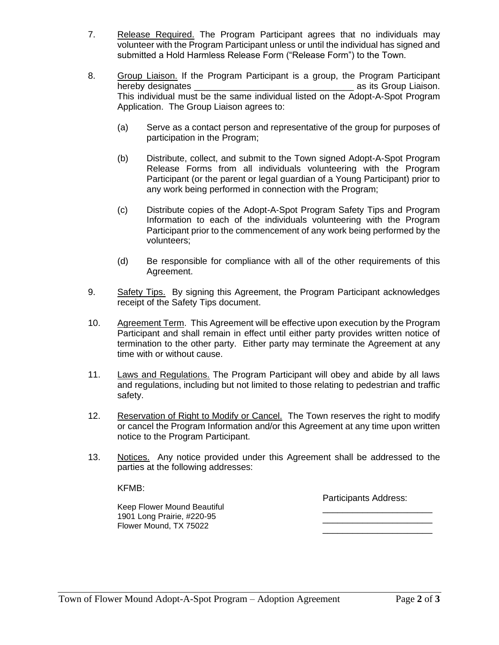- 7. Release Required. The Program Participant agrees that no individuals may volunteer with the Program Participant unless or until the individual has signed and submitted a Hold Harmless Release Form ("Release Form") to the Town.
- 8. Group Liaison. If the Program Participant is a group, the Program Participant hereby designates \_\_\_\_\_\_\_\_\_\_\_\_\_\_\_\_\_\_\_\_\_\_\_\_\_\_\_\_\_\_\_\_ as its Group Liaison. This individual must be the same individual listed on the Adopt-A-Spot Program Application. The Group Liaison agrees to:
	- (a) Serve as a contact person and representative of the group for purposes of participation in the Program;
	- (b) Distribute, collect, and submit to the Town signed Adopt-A-Spot Program Release Forms from all individuals volunteering with the Program Participant (or the parent or legal guardian of a Young Participant) prior to any work being performed in connection with the Program;
	- (c) Distribute copies of the Adopt-A-Spot Program Safety Tips and Program Information to each of the individuals volunteering with the Program Participant prior to the commencement of any work being performed by the volunteers;
	- (d) Be responsible for compliance with all of the other requirements of this Agreement.
- 9. Safety Tips. By signing this Agreement, the Program Participant acknowledges receipt of the Safety Tips document.
- 10. Agreement Term. This Agreement will be effective upon execution by the Program Participant and shall remain in effect until either party provides written notice of termination to the other party. Either party may terminate the Agreement at any time with or without cause.
- 11. Laws and Regulations. The Program Participant will obey and abide by all laws and regulations, including but not limited to those relating to pedestrian and traffic safety.
- 12. Reservation of Right to Modify or Cancel. The Town reserves the right to modify or cancel the Program Information and/or this Agreement at any time upon written notice to the Program Participant.
- 13. Notices. Any notice provided under this Agreement shall be addressed to the parties at the following addresses:

KFMB:

Participants Address:

Keep Flower Mound Beautiful 1901 Long Prairie, #220-95 Flower Mound, TX 75022

\_\_\_\_\_\_\_\_\_\_\_\_\_\_\_\_\_\_\_\_\_\_